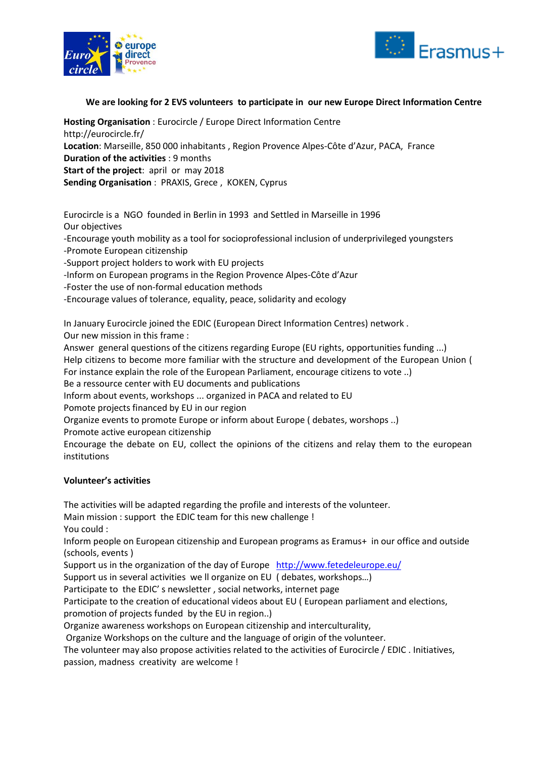



# **We are looking for 2 EVS volunteers to participate in our new Europe Direct Information Centre**

**Hosting Organisation** : Eurocircle / Europe Direct Information Centre http://eurocircle.fr/ **Location**: Marseille, 850 000 inhabitants , Region Provence Alpes-Côte d'Azur, PACA, France **Duration of the activities** : 9 months **Start of the project**: april or may 2018 **Sending Organisation** : PRAXIS, Grece , KOKEN, Cyprus

Eurocircle is a NGO founded in Berlin in 1993 and Settled in Marseille in 1996 Our objectives -Encourage youth mobility as a tool for socioprofessional inclusion of underprivileged youngsters -Promote European citizenship

-Support project holders to work with EU projects

-Inform on European programs in the Region Provence Alpes-Côte d'Azur

-Foster the use of non-formal education methods

-Encourage values of tolerance, equality, peace, solidarity and ecology

In January Eurocircle joined the EDIC (European Direct Information Centres) network . Our new mission in this frame :

Answer general questions of the citizens regarding Europe (EU rights, opportunities funding ...) Help citizens to become more familiar with the structure and development of the European Union ( For instance explain the role of the European Parliament, encourage citizens to vote ..) Be a ressource center with EU documents and publications

Inform about events, workshops ... organized in PACA and related to EU

Pomote projects financed by EU in our region

Organize events to promote Europe or inform about Europe ( debates, worshops ..)

Promote active european citizenship

Encourage the debate on EU, collect the opinions of the citizens and relay them to the european institutions

## **Volunteer's activities**

The activities will be adapted regarding the profile and interests of the volunteer.

Main mission : support the EDIC team for this new challenge !

You could :

Inform people on European citizenship and European programs as Eramus+ in our office and outside (schools, events )

Support us in the organization of the day of Europe <http://www.fetedeleurope.eu/>

Support us in several activities we ll organize on EU ( debates, workshops…)

Participate to the EDIC' s newsletter , social networks, internet page

Participate to the creation of educational videos about EU ( European parliament and elections, promotion of projects funded by the EU in region..)

Organize awareness workshops on European citizenship and interculturality,

Organize Workshops on the culture and the language of origin of the volunteer.

The volunteer may also propose activities related to the activities of Eurocircle / EDIC . Initiatives, passion, madness creativity are welcome !